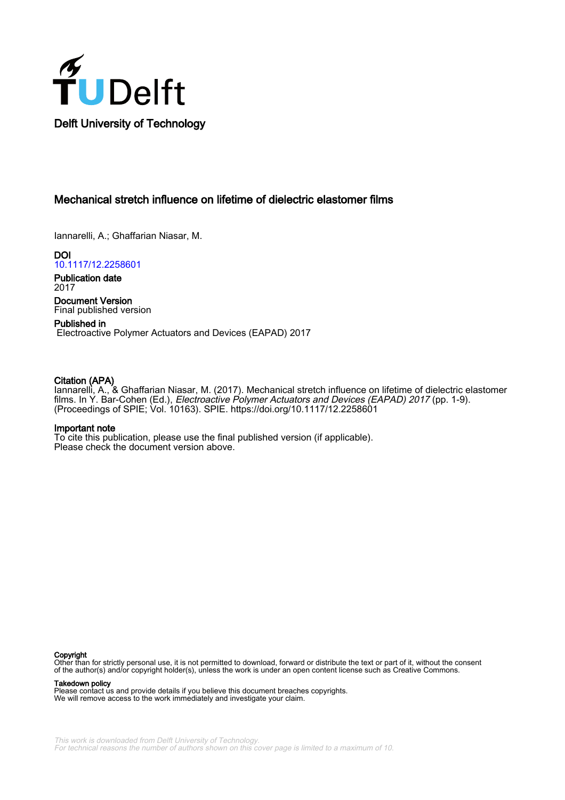

# Mechanical stretch influence on lifetime of dielectric elastomer films

Iannarelli, A.; Ghaffarian Niasar, M.

DOI [10.1117/12.2258601](https://doi.org/10.1117/12.2258601)

Publication date 2017

Document Version Final published version

Published in Electroactive Polymer Actuators and Devices (EAPAD) 2017

# Citation (APA)

Iannarelli, A., & Ghaffarian Niasar, M. (2017). Mechanical stretch influence on lifetime of dielectric elastomer films. In Y. Bar-Cohen (Ed.), Electroactive Polymer Actuators and Devices (EAPAD) 2017 (pp. 1-9). (Proceedings of SPIE; Vol. 10163). SPIE. <https://doi.org/10.1117/12.2258601>

### Important note

To cite this publication, please use the final published version (if applicable). Please check the document version above.

#### Copyright

Other than for strictly personal use, it is not permitted to download, forward or distribute the text or part of it, without the consent of the author(s) and/or copyright holder(s), unless the work is under an open content license such as Creative Commons.

Takedown policy

Please contact us and provide details if you believe this document breaches copyrights. We will remove access to the work immediately and investigate your claim.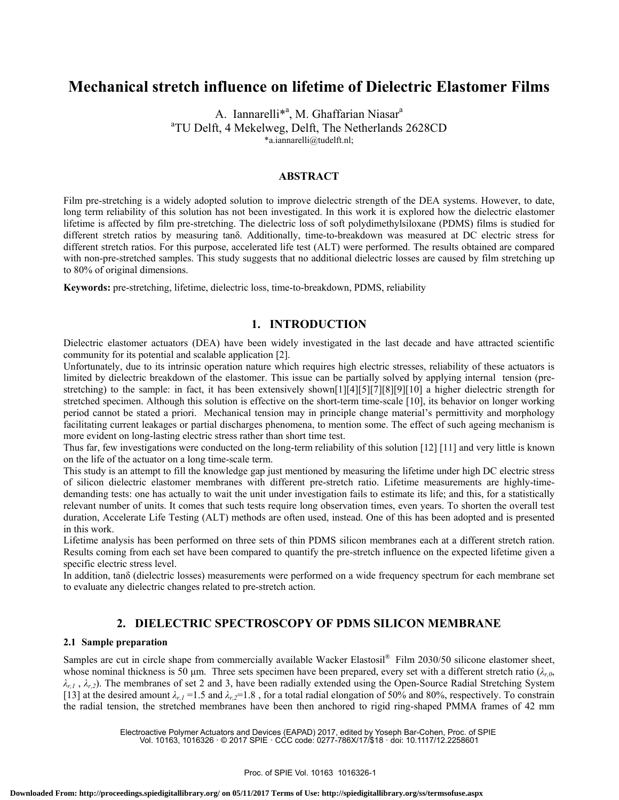# **Mechanical stretch influence on lifetime of Dielectric Elastomer Films**

A. Iannarelli<sup>\*a</sup>, M. Ghaffarian Niasar<sup>a</sup> a TU Delft, 4 Mekelweg, Delft, The Netherlands 2628CD \*a.iannarelli@tudelft.nl;

### **ABSTRACT**

Film pre-stretching is a widely adopted solution to improve dielectric strength of the DEA systems. However, to date, long term reliability of this solution has not been investigated. In this work it is explored how the dielectric elastomer lifetime is affected by film pre-stretching. The dielectric loss of soft polydimethylsiloxane (PDMS) films is studied for different stretch ratios by measuring tanδ. Additionally, time-to-breakdown was measured at DC electric stress for different stretch ratios. For this purpose, accelerated life test (ALT) were performed. The results obtained are compared with non-pre-stretched samples. This study suggests that no additional dielectric losses are caused by film stretching up to 80% of original dimensions.

**Keywords:** pre-stretching, lifetime, dielectric loss, time-to-breakdown, PDMS, reliability

## **1. INTRODUCTION**

Dielectric elastomer actuators (DEA) have been widely investigated in the last decade and have attracted scientific community for its potential and scalable application [2].

Unfortunately, due to its intrinsic operation nature which requires high electric stresses, reliability of these actuators is limited by dielectric breakdown of the elastomer. This issue can be partially solved by applying internal tension (prestretching) to the sample: in fact, it has been extensively shown[1][4][5][7][8][9][10] a higher dielectric strength for stretched specimen. Although this solution is effective on the short-term time-scale [10], its behavior on longer working period cannot be stated a priori. Mechanical tension may in principle change material's permittivity and morphology facilitating current leakages or partial discharges phenomena, to mention some. The effect of such ageing mechanism is more evident on long-lasting electric stress rather than short time test.

Thus far, few investigations were conducted on the long-term reliability of this solution [12] [11] and very little is known on the life of the actuator on a long time-scale term.

This study is an attempt to fill the knowledge gap just mentioned by measuring the lifetime under high DC electric stress of silicon dielectric elastomer membranes with different pre-stretch ratio. Lifetime measurements are highly-timedemanding tests: one has actually to wait the unit under investigation fails to estimate its life; and this, for a statistically relevant number of units. It comes that such tests require long observation times, even years. To shorten the overall test duration, Accelerate Life Testing (ALT) methods are often used, instead. One of this has been adopted and is presented in this work.

Lifetime analysis has been performed on three sets of thin PDMS silicon membranes each at a different stretch ration. Results coming from each set have been compared to quantify the pre-stretch influence on the expected lifetime given a specific electric stress level.

In addition, tanδ (dielectric losses) measurements were performed on a wide frequency spectrum for each membrane set to evaluate any dielectric changes related to pre-stretch action.

# **2. DIELECTRIC SPECTROSCOPY OF PDMS SILICON MEMBRANE**

### **2.1 Sample preparation**

Samples are cut in circle shape from commercially available Wacker Elastosil® Film 2030/50 silicone elastomer sheet, whose nominal thickness is 50 μm. Three sets specimen have been prepared, every set with a different stretch ratio (*λr,0*, *λr,1* , *λr,2*). The membranes of set 2 and 3, have been radially extended using the Open-Source Radial Stretching System [13] at the desired amount  $\lambda_{r,1} = 1.5$  and  $\lambda_{r,2} = 1.8$ , for a total radial elongation of 50% and 80%, respectively. To constrain the radial tension, the stretched membranes have been then anchored to rigid ring-shaped PMMA frames of 42 mm

> Electroactive Polymer Actuators and Devices (EAPAD) 2017, edited by Yoseph Bar-Cohen, Proc. of SPIE Vol. 10163, 1016326 · © 2017 SPIE · CCC code: 0277-786X/17/\$18 · doi: 10.1117/12.2258601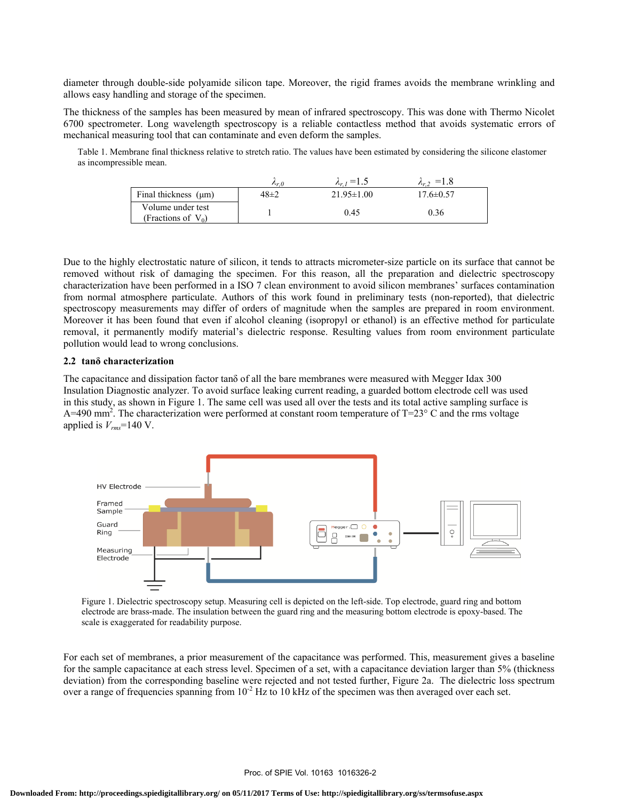diameter through double-side polyamide silicon tape. Moreover, the rigid frames avoids the membrane wrinkling and allows easy handling and storage of the specimen.

The thickness of the samples has been measured by mean of infrared spectroscopy. This was done with Thermo Nicolet 6700 spectrometer. Long wavelength spectroscopy is a reliable contactless method that avoids systematic errors of mechanical measuring tool that can contaminate and even deform the samples.

Table 1. Membrane final thickness relative to stretch ratio. The values have been estimated by considering the silicone elastomer as incompressible mean.

|                                            | $\mathcal{L}_r$ $\theta$ | $\lambda_{r,l} = 1.5$ | $=1.8$          |
|--------------------------------------------|--------------------------|-----------------------|-----------------|
| Final thickness $(\mu m)$                  | $48 \pm 2$               | $21.95 \pm 1.00$      | $17.6 \pm 0.57$ |
| Volume under test<br>(Fractions of $V_0$ ) |                          | 0.45                  | 0.36            |

Due to the highly electrostatic nature of silicon, it tends to attracts micrometer-size particle on its surface that cannot be removed without risk of damaging the specimen. For this reason, all the preparation and dielectric spectroscopy characterization have been performed in a ISO 7 clean environment to avoid silicon membranes' surfaces contamination from normal atmosphere particulate. Authors of this work found in preliminary tests (non-reported), that dielectric spectroscopy measurements may differ of orders of magnitude when the samples are prepared in room environment. Moreover it has been found that even if alcohol cleaning (isopropyl or ethanol) is an effective method for particulate removal, it permanently modify material's dielectric response. Resulting values from room environment particulate pollution would lead to wrong conclusions.

### **2.2 tanδ characterization**

The capacitance and dissipation factor tanδ of all the bare membranes were measured with Megger Idax 300 Insulation Diagnostic analyzer. To avoid surface leaking current reading, a guarded bottom electrode cell was used in this study, as shown in Figure 1. The same cell was used all over the tests and its total active sampling surface is A=490 mm<sup>2</sup>. The characterization were performed at constant room temperature of T=23° C and the rms voltage applied is  $V_{rms}$ =140 V.



Figure 1. Dielectric spectroscopy setup. Measuring cell is depicted on the left-side. Top electrode, guard ring and bottom electrode are brass-made. The insulation between the guard ring and the measuring bottom electrode is epoxy-based. The scale is exaggerated for readability purpose.

For each set of membranes, a prior measurement of the capacitance was performed. This, measurement gives a baseline for the sample capacitance at each stress level. Specimen of a set, with a capacitance deviation larger than 5% (thickness deviation) from the corresponding baseline were rejected and not tested further, Figure 2a. The dielectric loss spectrum over a range of frequencies spanning from  $10^{-2}$  Hz to 10 kHz of the specimen was then averaged over each set.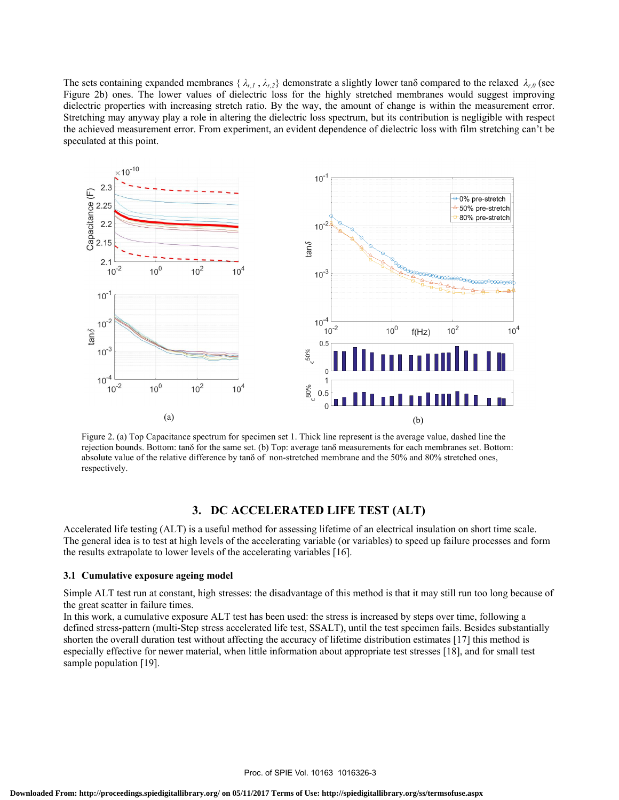The sets containing expanded membranes  $\{\lambda_{r,1}, \lambda_{r,2}\}$  demonstrate a slightly lower tan $\delta$  compared to the relaxed  $\lambda_{r,0}$  (see Figure 2b) ones. The lower values of dielectric loss for the highly stretched membranes would suggest improving dielectric properties with increasing stretch ratio. By the way, the amount of change is within the measurement error. Stretching may anyway play a role in altering the dielectric loss spectrum, but its contribution is negligible with respect the achieved measurement error. From experiment, an evident dependence of dielectric loss with film stretching can't be speculated at this point.



Figure 2. (a) Top Capacitance spectrum for specimen set 1. Thick line represent is the average value, dashed line the rejection bounds. Bottom: tanδ for the same set. (b) Top: average tanδ measurements for each membranes set. Bottom: absolute value of the relative difference by tanδ of non-stretched membrane and the 50% and 80% stretched ones, respectively.

# **3. DC ACCELERATED LIFE TEST (ALT)**

Accelerated life testing (ALT) is a useful method for assessing lifetime of an electrical insulation on short time scale. The general idea is to test at high levels of the accelerating variable (or variables) to speed up failure processes and form the results extrapolate to lower levels of the accelerating variables [16].

### **3.1 Cumulative exposure ageing model**

Simple ALT test run at constant, high stresses: the disadvantage of this method is that it may still run too long because of the great scatter in failure times.

In this work, a cumulative exposure ALT test has been used: the stress is increased by steps over time, following a defined stress-pattern (multi-Step stress accelerated life test, SSALT), until the test specimen fails. Besides substantially shorten the overall duration test without affecting the accuracy of lifetime distribution estimates [17] this method is especially effective for newer material, when little information about appropriate test stresses [18], and for small test sample population [19].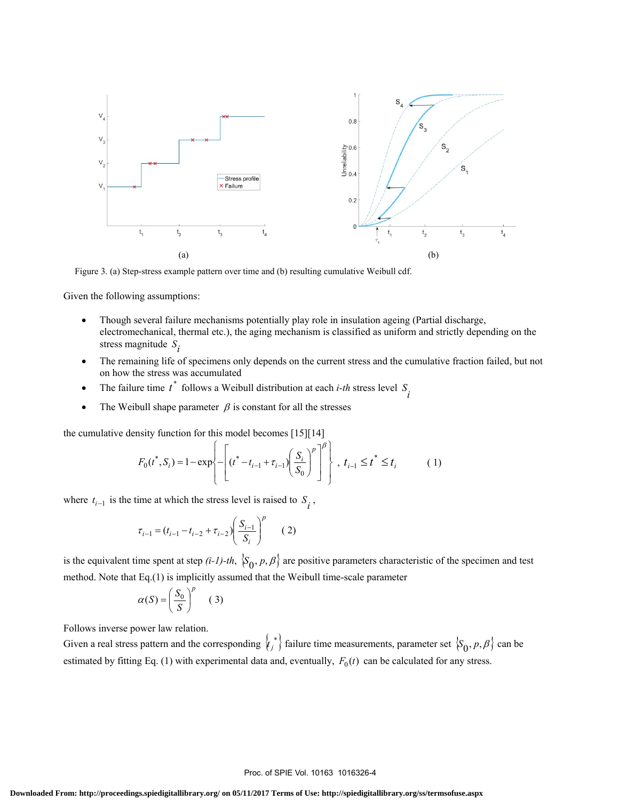

Figure 3. (a) Step-stress example pattern over time and (b) resulting cumulative Weibull cdf.

Given the following assumptions:

- Though several failure mechanisms potentially play role in insulation ageing (Partial discharge, electromechanical, thermal etc.), the aging mechanism is classified as uniform and strictly depending on the stress magnitude  $S_i$
- The remaining life of specimens only depends on the current stress and the cumulative fraction failed, but not on how the stress was accumulated
- The failure time  $t^*$  follows a Weibull distribution at each *i-th* stress level  $S_i$
- The Weibull shape parameter  $\beta$  is constant for all the stresses

the cumulative density function for this model becomes [15][14]

$$
F_0(t^*, S_i) = 1 - \exp\left\{-\left[(t^* - t_{i-1} + \tau_{i-1})(\frac{S_i}{S_0})^p\right]^{\beta}\right\}, \ t_{i-1} \le t^* \le t_i \tag{1}
$$

where  $t_{i-1}$  is the time at which the stress level is raised to  $S_i$ ,

$$
\tau_{i-1} = (t_{i-1} - t_{i-2} + \tau_{i-2}) \left(\frac{S_{i-1}}{S_i}\right)^p \qquad (2)
$$

is the equivalent time spent at step  $(i-1)-th$ ,  $\{S_0, p, \beta\}$  are positive parameters characteristic of the specimen and test method. Note that Eq.(1) is implicitly assumed that the Weibull time-scale parameter

$$
\alpha(S) = \left(\frac{S_0}{S}\right)^p \quad (3)
$$

Follows inverse power law relation.

Given a real stress pattern and the corresponding  $\langle t_j^* \rangle$  failure time measurements, parameter set  $\langle S_0, p, \beta \rangle$  can be estimated by fitting Eq. (1) with experimental data and, eventually,  $F_0(t)$  can be calculated for any stress.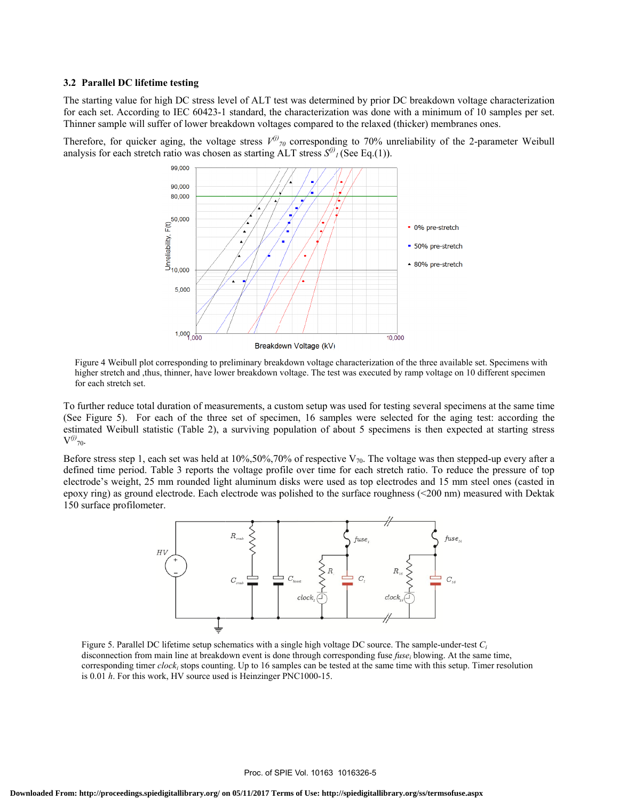### **3.2 Parallel DC lifetime t testing**

The starting value for high DC stress level of ALT test was determined by prior DC breakdown voltage characterization The starting value for high DC stress level of ALT test was determined by prior DC breakdown voltage characterization<br>for each set. According to IEC 60423-1 standard, the characterization was done with a minimum of 10 samp Thinner sample will suffer of lower breakdown voltages compared to the relaxed (thicker) membranes ones.

Therefore, for quicker aging, the voltage stress  $V^{(j)}_{70}$  corresponding to 70% unreliability of the 2-parameter Weibull analysis for each stretch ratio was chosen as starting ALT stress  $S^{(j)}$ <sub>*l*</sub> (See Eq.(1)).



Figure 4 Weibull plot corresponding to preliminary breakdown voltage characterization of the three available set. Specimens with higher stretch and ,thus, thinner, have lower breakdown voltage. The test was executed by ramp voltage on 10 different specimen for each stretch set.

To further reduce total duration of measurements, a custom setup was used for testing several specimens at the same time (See Figure 5). For each of the three set of specimen, 16 samples were selected for the aging test: according the estimated Weibull statistic (Table 2), a surviving population of about 5 specimens is then expected at starting stress  $V^{(j)}_{70}$ .

Before stress step 1, each set was held at 10%,50%,70% of respective  $V_{70}$ . The voltage was then stepped-up every after a defined time period. Table 3 reports the voltage profile over time for each stretch ratio. To reduce the pressure of top electrode's weight, 25 mm rounded light aluminum disks were used as top electrodes and 15 mm steel ones (casted in epoxy ring) as ground electrode. Each electrode was polished to the surface roughness (<200 nm) measured with Dektak 150 surface profilometer. eesa pnk



Figure 5. Parallel DC lifetime setup schematics with a single high voltage DC source. The sample-under-test *C<sub>i</sub>* disconnection from main line at breakdown event is done through corresponding fuse *fuse<sub>i</sub>* blowing. At the same time, corresponding timer *clock<sub>i</sub>* stops counting. Up to 16 samples can be tested at the same time with this setup. Timer resolution is 0.01 *h*. For this work, HV source used is Heinzinger PNC1000-15.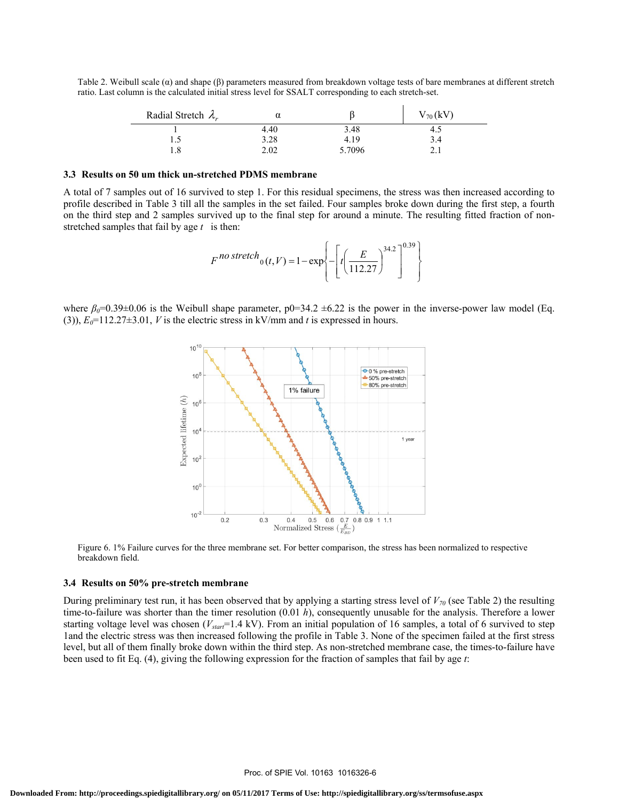Table 2. Weibull scale ( $\alpha$ ) and shape ( $\beta$ ) parameters measured from breakdown voltage tests of bare membranes at different stretch ratio. Last column is the calculated initial stress level for SSALT corresponding to each stretch-set.

| Radial Stretch $\lambda_r$ | α    |        | $V_{70}(kV)$ |
|----------------------------|------|--------|--------------|
|                            | 4.40 | 3.48   | 4.5          |
|                            | 3.28 | 4.19   | 3.4          |
| 1.8                        | 2.02 | 5.7096 |              |

#### **3.3 Results on 50 um thick un-stretched PDMS membrane**

A total of 7 samples out of 16 survived to step 1. For this residual specimens, the stress was then increased according to profile described in Table 3 till all the samples in the set failed. Four samples broke down during the first step, a fourth on the third step and 2 samples survived up to the final step for around a minute. The resulting fitted fraction of nonstretched samples that fail by age *t* is then:

$$
F^{no\,stretch}{}_{0}(t,V) = 1 - \exp\left\{-\left[t\left(\frac{E}{112.27}\right)^{34.2}\right]^{0.39}\right\}
$$

where  $\beta_0 = 0.39 \pm 0.06$  is the Weibull shape parameter,  $p0 = 34.2 \pm 6.22$  is the power in the inverse-power law model (Eq. (3)),  $E_0$ =112.27±3.01, *V* is the electric stress in kV/mm and *t* is expressed in hours.



Figure 6. 1% Failure curves for the three membrane set. For better comparison, the stress has been normalized to respective breakdown field.

### **3.4 Results on 50% pre-stretch membrane**

During preliminary test run, it has been observed that by applying a starting stress level of  $V_{70}$  (see Table 2) the resulting time-to-failure was shorter than the timer resolution (0.01 *h*), consequently unusable for the analysis. Therefore a lower starting voltage level was chosen (*Vstart*=1.4 kV). From an initial population of 16 samples, a total of 6 survived to step 1and the electric stress was then increased following the profile in Table 3. None of the specimen failed at the first stress level, but all of them finally broke down within the third step. As non-stretched membrane case, the times-to-failure have been used to fit Eq. (4), giving the following expression for the fraction of samples that fail by age *t*: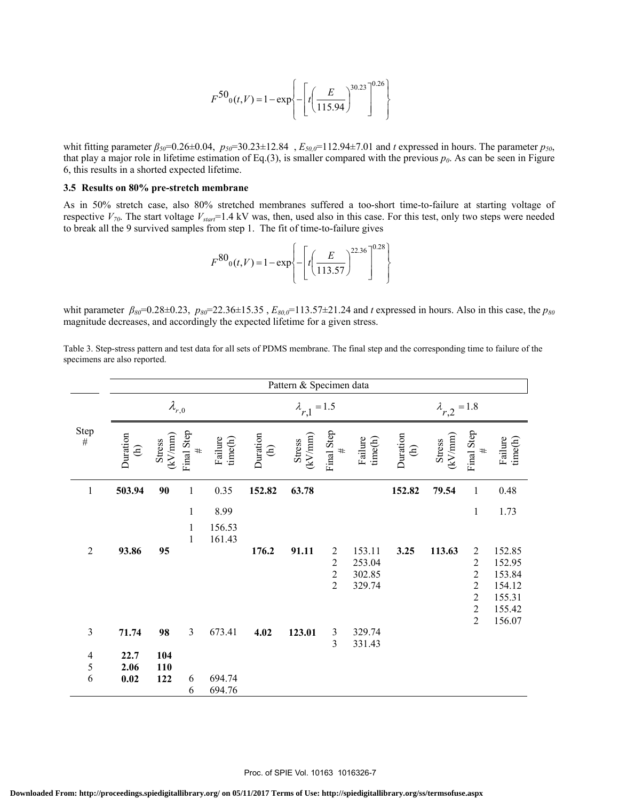$$
F^{50}(t, V) = 1 - \exp\left\{-\left[t\left(\frac{E}{115.94}\right)^{30.23}\right]^{0.26}\right\}
$$

whit fitting parameter *β<sub>50</sub>*=0.26±0.04, *p<sub>50</sub>*=30.23±12.84, *E<sub>50,0</sub>*=112.94±7.01 and *t* expressed in hours. The parameter *p<sub>50</sub>*, that play a major role in lifetime estimation of Eq.(3), is smaller compared with the previous  $p_0$ . As can be seen in Figure 6, this results in a shorted expected lifetime.

### **3.5 Results on 80% pre-stretch membrane**

As in 50% stretch case, also 80% stretched membranes suffered a too-short time-to-failure at starting voltage of respective  $V_{70}$ . The start voltage  $V_{\text{start}}$ =1.4 kV was, then, used also in this case. For this test, only two steps were needed to break all the 9 survived samples from step 1. The fit of time-to-failure gives

$$
F^{80} \text{o}(t, V) = 1 - \exp \left\{ - \left[ t \left( \frac{E}{113.57} \right)^{22.36} \right]^{0.28} \right\}
$$

whit parameter *β*<sub>80</sub>=0.28±0.23, *p*<sub>80</sub>=22.36±15.35, *E*<sub>80,0</sub>=113.57±21.24 and *t* expressed in hours. Also in this case, the *p*<sub>80</sub> magnitude decreases, and accordingly the expected lifetime for a given stress.

Table 3. Step-stress pattern and test data for all sets of PDMS membrane. The final step and the corresponding time to failure of the specimens are also reported.

|                | Pattern & Specimen data |                                         |                    |                    |                             |                                         |                    |                       |                           |                                         |                 |                    |
|----------------|-------------------------|-----------------------------------------|--------------------|--------------------|-----------------------------|-----------------------------------------|--------------------|-----------------------|---------------------------|-----------------------------------------|-----------------|--------------------|
|                |                         | $\lambda_{r,0}$                         |                    |                    | $\lambda_{r,1} = 1.5$       |                                         |                    | $\lambda_{r,2} = 1.8$ |                           |                                         |                 |                    |
| Step<br>$\#$   | Duration<br>Ê           | $\left(\mathrm{kV/mm}\right)$<br>Stress | Final Step<br>$\#$ | Failure<br>time(h) | Duration<br>$\widehat{\in}$ | $\left(\mathrm{kV/mm}\right)$<br>Stress | Final Step<br>$\#$ | Failure<br>$time(h)$  | Duration<br>$\widehat{E}$ | $\left(\mathrm{kV/mm}\right)$<br>Stress | Final Step<br># | Failure<br>time(h) |
| $\mathbf{1}$   | 503.94                  | 90                                      | $\,1$              | 0.35               | 152.82                      | 63.78                                   |                    |                       | 152.82                    | 79.54                                   | $\mathbf{1}$    | 0.48               |
|                |                         |                                         | $\mathbf{1}$       | 8.99               |                             |                                         |                    |                       |                           |                                         | $\mathbf{1}$    | 1.73               |
|                |                         |                                         | 1<br>$\mathbf{1}$  | 156.53<br>161.43   |                             |                                         |                    |                       |                           |                                         |                 |                    |
| $\overline{2}$ | 93.86                   | 95                                      |                    |                    | 176.2                       | 91.11                                   | $\overline{c}$     | 153.11                | 3.25                      | 113.63                                  | $\overline{c}$  | 152.85             |
|                |                         |                                         |                    |                    |                             |                                         | $\sqrt{2}$         | 253.04                |                           |                                         | $\sqrt{2}$      | 152.95             |
|                |                         |                                         |                    |                    |                             |                                         | $\frac{2}{2}$      | 302.85                |                           |                                         | $\frac{2}{2}$   | 153.84             |
|                |                         |                                         |                    |                    |                             |                                         |                    | 329.74                |                           |                                         | $\overline{2}$  | 154.12<br>155.31   |
|                |                         |                                         |                    |                    |                             |                                         |                    |                       |                           |                                         | $\overline{2}$  | 155.42             |
|                |                         |                                         |                    |                    |                             |                                         |                    |                       |                           |                                         | $\overline{2}$  | 156.07             |
| $\mathfrak{Z}$ | 71.74                   | 98                                      | $\mathfrak{Z}$     | 673.41             | 4.02                        | 123.01                                  | $\mathfrak{Z}$     | 329.74                |                           |                                         |                 |                    |
|                |                         |                                         |                    |                    |                             |                                         | $\overline{3}$     | 331.43                |                           |                                         |                 |                    |
| $\overline{4}$ | 22.7                    | 104                                     |                    |                    |                             |                                         |                    |                       |                           |                                         |                 |                    |
| 5              | 2.06                    | 110                                     |                    |                    |                             |                                         |                    |                       |                           |                                         |                 |                    |
| 6              | $0.02\,$                | 122                                     | 6                  | 694.74             |                             |                                         |                    |                       |                           |                                         |                 |                    |
|                |                         |                                         | 6                  | 694.76             |                             |                                         |                    |                       |                           |                                         |                 |                    |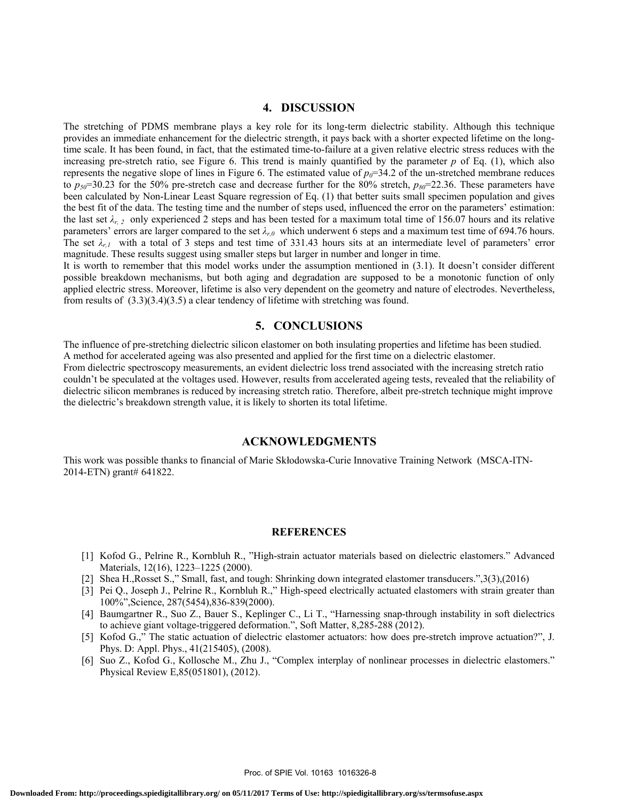# **4. DISCUSSION**

The stretching of PDMS membrane plays a key role for its long-term dielectric stability. Although this technique provides an immediate enhancement for the dielectric strength, it pays back with a shorter expected lifetime on the longtime scale. It has been found, in fact, that the estimated time-to-failure at a given relative electric stress reduces with the increasing pre-stretch ratio, see Figure 6. This trend is mainly quantified by the parameter *p* of Eq. (1), which also represents the negative slope of lines in Figure 6. The estimated value of  $p<sub>0</sub>=34.2$  of the un-stretched membrane reduces to  $p_{50}$ =30.23 for the 50% pre-stretch case and decrease further for the 80% stretch,  $p_{80}$ =22.36. These parameters have been calculated by Non-Linear Least Square regression of Eq. (1) that better suits small specimen population and gives the best fit of the data. The testing time and the number of steps used, influenced the error on the parameters' estimation: the last set  $\lambda_{r,2}$  only experienced 2 steps and has been tested for a maximum total time of 156.07 hours and its relative parameters' errors are larger compared to the set *λr,0* which underwent 6 steps and a maximum test time of 694.76 hours. The set  $\lambda_{r,l}$  with a total of 3 steps and test time of 331.43 hours sits at an intermediate level of parameters' error magnitude. These results suggest using smaller steps but larger in number and longer in time.

It is worth to remember that this model works under the assumption mentioned in (3.1). It doesn't consider different possible breakdown mechanisms, but both aging and degradation are supposed to be a monotonic function of only applied electric stress. Moreover, lifetime is also very dependent on the geometry and nature of electrodes. Nevertheless, from results of (3.3)(3.4)(3.5) a clear tendency of lifetime with stretching was found.

### **5. CONCLUSIONS**

The influence of pre-stretching dielectric silicon elastomer on both insulating properties and lifetime has been studied. A method for accelerated ageing was also presented and applied for the first time on a dielectric elastomer. From dielectric spectroscopy measurements, an evident dielectric loss trend associated with the increasing stretch ratio couldn't be speculated at the voltages used. However, results from accelerated ageing tests, revealed that the reliability of dielectric silicon membranes is reduced by increasing stretch ratio. Therefore, albeit pre-stretch technique might improve the dielectric's breakdown strength value, it is likely to shorten its total lifetime.

### **ACKNOWLEDGMENTS**

This work was possible thanks to financial of Marie Skłodowska-Curie Innovative Training Network (MSCA-ITN-2014-ETN) grant# 641822.

### **REFERENCES**

- [1] Kofod G., Pelrine R., Kornbluh R., "High-strain actuator materials based on dielectric elastomers." Advanced Materials, 12(16), 1223–1225 (2000).
- [2] Shea H.,Rosset S.," Small, fast, and tough: Shrinking down integrated elastomer transducers.",3(3),(2016)
- [3] Pei Q., Joseph J., Pelrine R., Kornbluh R.," High-speed electrically actuated elastomers with strain greater than 100%",Science, 287(5454),836-839(2000).
- [4] Baumgartner R., Suo Z., Bauer S., Keplinger C., Li T., "Harnessing snap-through instability in soft dielectrics to achieve giant voltage-triggered deformation.", Soft Matter, 8,285-288 (2012).
- [5] Kofod G.," The static actuation of dielectric elastomer actuators: how does pre-stretch improve actuation?", J. Phys. D: Appl. Phys., 41(215405), (2008).
- [6] Suo Z., Kofod G., Kollosche M., Zhu J., "Complex interplay of nonlinear processes in dielectric elastomers." Physical Review E,85(051801), (2012).